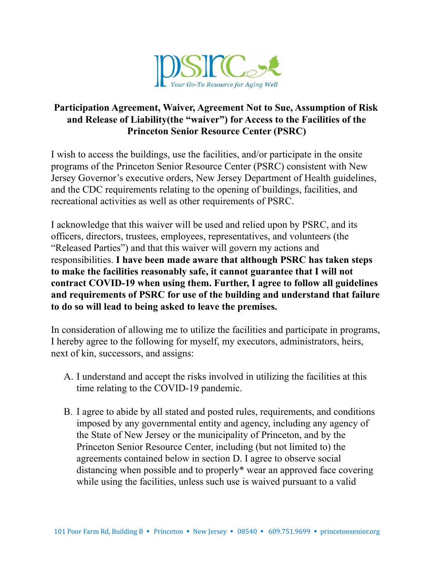

## **Participation Agreement, Waiver, Agreement Not to Sue, Assumption of Risk and Release of Liability(the "waiver") for Access to the Facilities of the Princeton Senior Resource Center (PSRC)**

I wish to access the buildings, use the facilities, and/or participate in the onsite programs of the Princeton Senior Resource Center (PSRC) consistent with New Jersey Governor's executive orders, New Jersey Department of Health guidelines, and the CDC requirements relating to the opening of buildings, facilities, and recreational activities as well as other requirements of PSRC.

I acknowledge that this waiver will be used and relied upon by PSRC, and its officers, directors, trustees, employees, representatives, and volunteers (the "Released Parties") and that this waiver will govern my actions and responsibilities. **I have been made aware that although PSRC has taken steps to make the facilities reasonably safe, it cannot guarantee that I will not contract COVID-19 when using them. Further, I agree to follow all guidelines and requirements of PSRC for use of the building and understand that failure to do so will lead to being asked to leave the premises.**

In consideration of allowing me to utilize the facilities and participate in programs, I hereby agree to the following for myself, my executors, administrators, heirs, next of kin, successors, and assigns:

- A. I understand and accept the risks involved in utilizing the facilities at this time relating to the COVID-19 pandemic.
- B. I agree to abide by all stated and posted rules, requirements, and conditions imposed by any governmental entity and agency, including any agency of the State of New Jersey or the municipality of Princeton, and by the Princeton Senior Resource Center, including (but not limited to) the agreements contained below in section D. I agree to observe social distancing when possible and to properly\* wear an approved face covering while using the facilities, unless such use is waived pursuant to a valid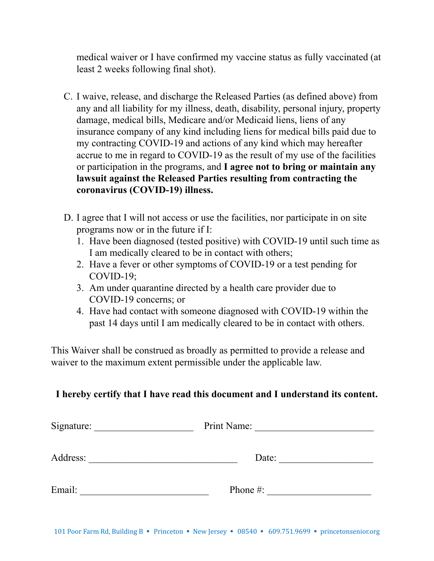medical waiver or I have confirmed my vaccine status as fully vaccinated (at least 2 weeks following final shot).

- C. I waive, release, and discharge the Released Parties (as defined above) from any and all liability for my illness, death, disability, personal injury, property damage, medical bills, Medicare and/or Medicaid liens, liens of any insurance company of any kind including liens for medical bills paid due to my contracting COVID-19 and actions of any kind which may hereafter accrue to me in regard to COVID-19 as the result of my use of the facilities or participation in the programs, and **I agree not to bring or maintain any lawsuit against the Released Parties resulting from contracting the coronavirus (COVID-19) illness.**
- D. I agree that I will not access or use the facilities, nor participate in on site programs now or in the future if I:
	- 1. Have been diagnosed (tested positive) with COVID-19 until such time as I am medically cleared to be in contact with others;
	- 2. Have a fever or other symptoms of COVID-19 or a test pending for COVID-19;
	- 3. Am under quarantine directed by a health care provider due to COVID-19 concerns; or
	- 4. Have had contact with someone diagnosed with COVID-19 within the past 14 days until I am medically cleared to be in contact with others.

This Waiver shall be construed as broadly as permitted to provide a release and waiver to the maximum extent permissible under the applicable law.

## **I hereby certify that I have read this document and I understand its content.**

| Signature: | Print Name: |  |
|------------|-------------|--|
| Address:   | Date:       |  |
| Email:     | Phone $#$ : |  |